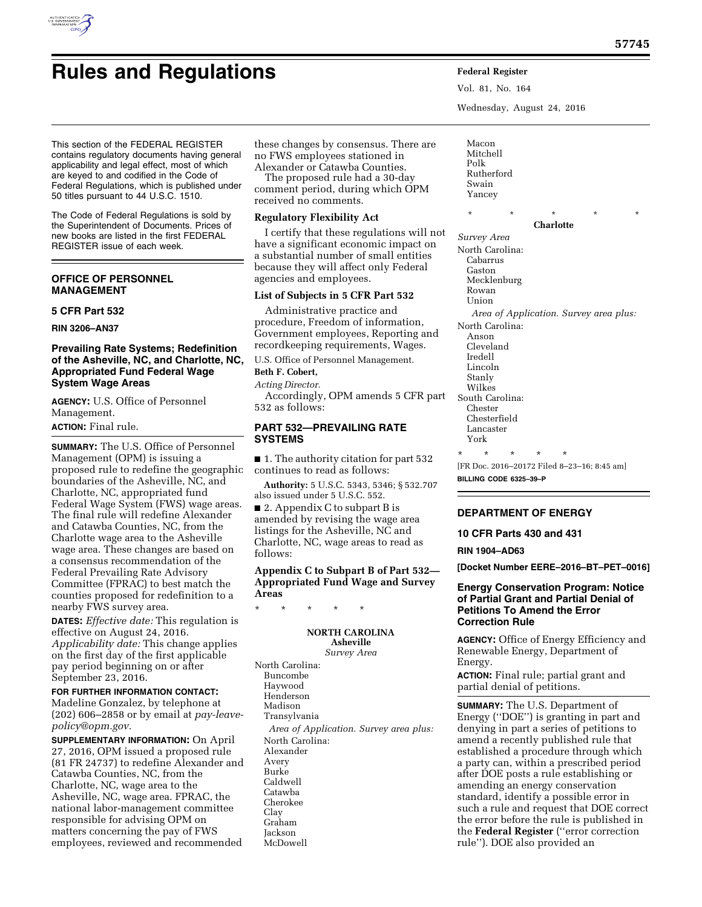# **Rules and Regulations Federal Register**

Vol. 81, No. 164 Wednesday, August 24, 2016

This section of the FEDERAL REGISTER contains regulatory documents having general applicability and legal effect, most of which are keyed to and codified in the Code of Federal Regulations, which is published under 50 titles pursuant to 44 U.S.C. 1510.

The Code of Federal Regulations is sold by the Superintendent of Documents. Prices of new books are listed in the first FEDERAL REGISTER issue of each week.

# **OFFICE OF PERSONNEL MANAGEMENT**

# **5 CFR Part 532**

**RIN 3206–AN37** 

# **Prevailing Rate Systems; Redefinition of the Asheville, NC, and Charlotte, NC, Appropriated Fund Federal Wage System Wage Areas**

**AGENCY:** U.S. Office of Personnel Management.

**ACTION:** Final rule.

**SUMMARY:** The U.S. Office of Personnel Management (OPM) is issuing a proposed rule to redefine the geographic boundaries of the Asheville, NC, and Charlotte, NC, appropriated fund Federal Wage System (FWS) wage areas. The final rule will redefine Alexander and Catawba Counties, NC, from the Charlotte wage area to the Asheville wage area. These changes are based on a consensus recommendation of the Federal Prevailing Rate Advisory Committee (FPRAC) to best match the counties proposed for redefinition to a nearby FWS survey area.

**DATES:** *Effective date:* This regulation is effective on August 24, 2016. *Applicability date:* This change applies on the first day of the first applicable pay period beginning on or after September 23, 2016.

# **FOR FURTHER INFORMATION CONTACT:**

Madeline Gonzalez, by telephone at (202) 606–2858 or by email at *[pay-leave](mailto:pay-leave-policy@opm.gov)[policy@opm.gov.](mailto:pay-leave-policy@opm.gov)* 

**SUPPLEMENTARY INFORMATION:** On April 27, 2016, OPM issued a proposed rule (81 FR 24737) to redefine Alexander and Catawba Counties, NC, from the Charlotte, NC, wage area to the Asheville, NC, wage area. FPRAC, the national labor-management committee responsible for advising OPM on matters concerning the pay of FWS employees, reviewed and recommended

these changes by consensus. There are no FWS employees stationed in Alexander or Catawba Counties.

The proposed rule had a 30-day comment period, during which OPM received no comments.

# **Regulatory Flexibility Act**

I certify that these regulations will not have a significant economic impact on a substantial number of small entities because they will affect only Federal agencies and employees.

# **List of Subjects in 5 CFR Part 532**

Administrative practice and procedure, Freedom of information, Government employees, Reporting and recordkeeping requirements, Wages.

U.S. Office of Personnel Management.

# **Beth F. Cobert,**

*Acting Director.* 

Accordingly, OPM amends 5 CFR part 532 as follows:

# **PART 532—PREVAILING RATE SYSTEMS**

■ 1. The authority citation for part 532 continues to read as follows:

**Authority:** 5 U.S.C. 5343, 5346; § 532.707 also issued under 5 U.S.C. 552.

■ 2. Appendix C to subpart B is amended by revising the wage area listings for the Asheville, NC and Charlotte, NC, wage areas to read as follows:

**Appendix C to Subpart B of Part 532— Appropriated Fund Wage and Survey Areas** 

\* \* \* \* \*

#### **NORTH CAROLINA Asheville**

*Survey Area*  North Carolina: Buncombe Haywood Henderson Madison Transylvania *Area of Application. Survey area plus:*  North Carolina: Alexander Avery Burke Caldwell Catawba Cherokee Clay Graham Jackson McDowell

Macon Mitchell Polk Rutherford Swain Yancey

**Charlotte**  *Survey Area*  North Carolina: Cabarrus Gaston Mecklenburg Rowan Union *Area of Application. Survey area plus:*  North Carolina: Anson Cleveland Iredell Lincoln Stanly Wilkes South Carolina: Chester Chesterfield Lancaster York \* \* \* \* \*

\* \* \* \* \*

[FR Doc. 2016–20172 Filed 8–23–16; 8:45 am]

**BILLING CODE 6325–39–P** 

# **DEPARTMENT OF ENERGY**

**10 CFR Parts 430 and 431** 

**RIN 1904–AD63** 

**[Docket Number EERE–2016–BT–PET–0016]** 

# **Energy Conservation Program: Notice of Partial Grant and Partial Denial of Petitions To Amend the Error Correction Rule**

**AGENCY:** Office of Energy Efficiency and Renewable Energy, Department of Energy.

**ACTION:** Final rule; partial grant and partial denial of petitions.

**SUMMARY:** The U.S. Department of Energy (''DOE'') is granting in part and denying in part a series of petitions to amend a recently published rule that established a procedure through which a party can, within a prescribed period after DOE posts a rule establishing or amending an energy conservation standard, identify a possible error in such a rule and request that DOE correct the error before the rule is published in the **Federal Register** (''error correction rule''). DOE also provided an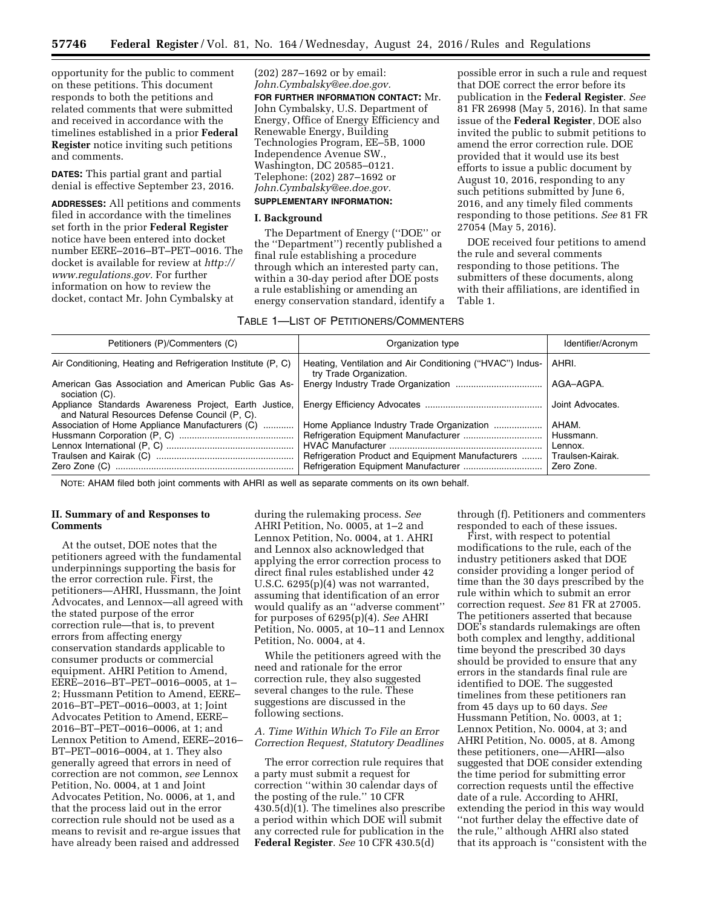opportunity for the public to comment on these petitions. This document responds to both the petitions and related comments that were submitted and received in accordance with the timelines established in a prior **Federal Register** notice inviting such petitions and comments.

**DATES:** This partial grant and partial denial is effective September 23, 2016.

**ADDRESSES:** All petitions and comments filed in accordance with the timelines set forth in the prior **Federal Register**  notice have been entered into docket number EERE–2016–BT–PET–0016. The docket is available for review at *[http://](http://www.regulations.gov)  [www.regulations.gov.](http://www.regulations.gov)* For further information on how to review the docket, contact Mr. John Cymbalsky at

(202) 287–1692 or by email: *[John.Cymbalsky@ee.doe.gov.](mailto:John.Cymbalsky@ee.doe.gov)*  **FOR FURTHER INFORMATION CONTACT:** Mr. John Cymbalsky, U.S. Department of Energy, Office of Energy Efficiency and Renewable Energy, Building Technologies Program, EE–5B, 1000 Independence Avenue SW., Washington, DC 20585–0121. Telephone: (202) 287–1692 or *[John.Cymbalsky@ee.doe.gov.](mailto:John.Cymbalsky@ee.doe.gov)* 

# **SUPPLEMENTARY INFORMATION:**

# **I. Background**

The Department of Energy (''DOE'' or the ''Department'') recently published a final rule establishing a procedure through which an interested party can, within a 30-day period after DOE posts a rule establishing or amending an energy conservation standard, identify a

possible error in such a rule and request that DOE correct the error before its publication in the **Federal Register**. *See*  81 FR 26998 (May 5, 2016). In that same issue of the **Federal Register**, DOE also invited the public to submit petitions to amend the error correction rule. DOE provided that it would use its best efforts to issue a public document by August 10, 2016, responding to any such petitions submitted by June 6, 2016, and any timely filed comments responding to those petitions. *See* 81 FR 27054 (May 5, 2016).

DOE received four petitions to amend the rule and several comments responding to those petitions. The submitters of these documents, along with their affiliations, are identified in Table 1.

# TABLE 1—LIST OF PETITIONERS/COMMENTERS

| Petitioners (P)/Commenters (C)                                                                         | Organization type                                                                    | Identifier/Acronym |
|--------------------------------------------------------------------------------------------------------|--------------------------------------------------------------------------------------|--------------------|
| Air Conditioning, Heating and Refrigeration Institute (P, C)                                           | Heating, Ventilation and Air Conditioning ("HVAC") Indus-<br>try Trade Organization. | AHRI.              |
| American Gas Association and American Public Gas As-<br>sociation (C).                                 |                                                                                      | AGA-AGPA.          |
| Appliance Standards Awareness Project, Earth Justice,<br>and Natural Resources Defense Council (P, C). |                                                                                      | Joint Advocates.   |
| Association of Home Appliance Manufacturers (C)                                                        | Home Appliance Industry Trade Organization                                           | AHAM.              |
|                                                                                                        |                                                                                      | Hussmann.          |
|                                                                                                        |                                                                                      | Lennox.            |
|                                                                                                        | Refrigeration Product and Equipment Manufacturers                                    | Traulsen-Kairak.   |
|                                                                                                        |                                                                                      | Zero Zone.         |

NOTE: AHAM filed both joint comments with AHRI as well as separate comments on its own behalf.

# **II. Summary of and Responses to Comments**

At the outset, DOE notes that the petitioners agreed with the fundamental underpinnings supporting the basis for the error correction rule. First, the petitioners—AHRI, Hussmann, the Joint Advocates, and Lennox—all agreed with the stated purpose of the error correction rule—that is, to prevent errors from affecting energy conservation standards applicable to consumer products or commercial equipment. AHRI Petition to Amend, EERE–2016–BT–PET–0016–0005, at 1– 2; Hussmann Petition to Amend, EERE– 2016–BT–PET–0016–0003, at 1; Joint Advocates Petition to Amend, EERE– 2016–BT–PET–0016–0006, at 1; and Lennox Petition to Amend, EERE–2016– BT–PET–0016–0004, at 1. They also generally agreed that errors in need of correction are not common, *see* Lennox Petition, No. 0004, at 1 and Joint Advocates Petition, No. 0006, at 1, and that the process laid out in the error correction rule should not be used as a means to revisit and re-argue issues that have already been raised and addressed

during the rulemaking process. *See*  AHRI Petition, No. 0005, at 1–2 and Lennox Petition, No. 0004, at 1. AHRI and Lennox also acknowledged that applying the error correction process to direct final rules established under 42 U.S.C. 6295(p)(4) was not warranted, assuming that identification of an error would qualify as an ''adverse comment'' for purposes of 6295(p)(4). *See* AHRI Petition, No. 0005, at 10–11 and Lennox Petition, No. 0004, at 4.

While the petitioners agreed with the need and rationale for the error correction rule, they also suggested several changes to the rule. These suggestions are discussed in the following sections.

#### *A. Time Within Which To File an Error Correction Request, Statutory Deadlines*

The error correction rule requires that a party must submit a request for correction ''within 30 calendar days of the posting of the rule.'' 10 CFR  $430.5(d)(1)$ . The timelines also prescribe a period within which DOE will submit any corrected rule for publication in the **Federal Register**. *See* 10 CFR 430.5(d)

through (f). Petitioners and commenters responded to each of these issues.

First, with respect to potential modifications to the rule, each of the industry petitioners asked that DOE consider providing a longer period of time than the 30 days prescribed by the rule within which to submit an error correction request. *See* 81 FR at 27005. The petitioners asserted that because DOE's standards rulemakings are often both complex and lengthy, additional time beyond the prescribed 30 days should be provided to ensure that any errors in the standards final rule are identified to DOE. The suggested timelines from these petitioners ran from 45 days up to 60 days. *See*  Hussmann Petition, No. 0003, at 1; Lennox Petition, No. 0004, at 3; and AHRI Petition, No. 0005, at 8. Among these petitioners, one—AHRI—also suggested that DOE consider extending the time period for submitting error correction requests until the effective date of a rule. According to AHRI, extending the period in this way would ''not further delay the effective date of the rule,'' although AHRI also stated that its approach is ''consistent with the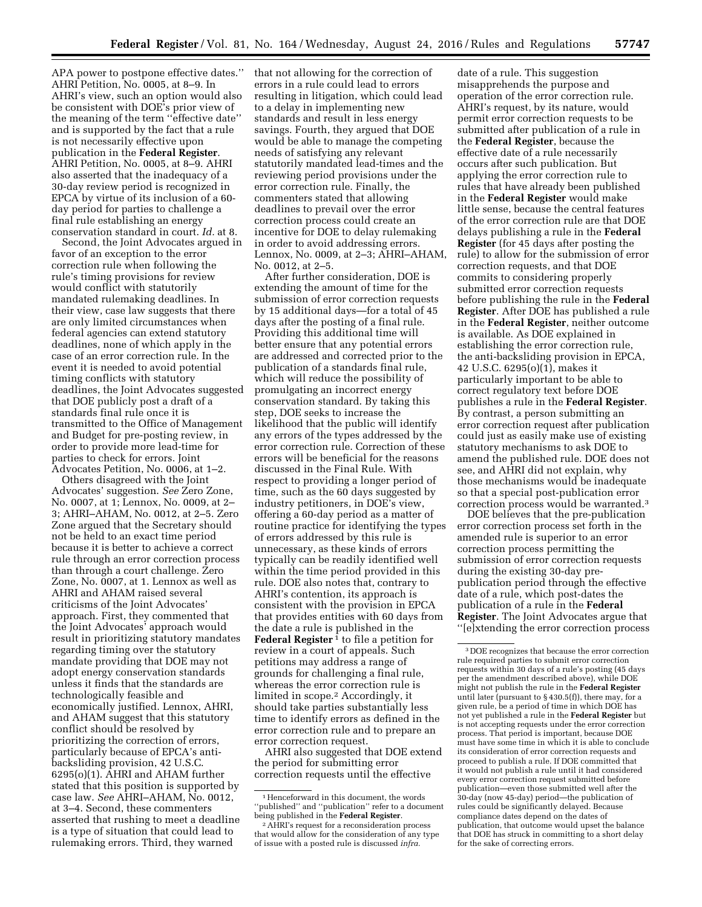APA power to postpone effective dates.'' AHRI Petition, No. 0005, at 8–9. In AHRI's view, such an option would also be consistent with DOE's prior view of the meaning of the term ''effective date'' and is supported by the fact that a rule is not necessarily effective upon publication in the **Federal Register**. AHRI Petition, No. 0005, at 8–9. AHRI also asserted that the inadequacy of a 30-day review period is recognized in EPCA by virtue of its inclusion of a 60 day period for parties to challenge a final rule establishing an energy conservation standard in court. *Id.* at 8.

Second, the Joint Advocates argued in favor of an exception to the error correction rule when following the rule's timing provisions for review would conflict with statutorily mandated rulemaking deadlines. In their view, case law suggests that there are only limited circumstances when federal agencies can extend statutory deadlines, none of which apply in the case of an error correction rule. In the event it is needed to avoid potential timing conflicts with statutory deadlines, the Joint Advocates suggested that DOE publicly post a draft of a standards final rule once it is transmitted to the Office of Management and Budget for pre-posting review, in order to provide more lead-time for parties to check for errors. Joint Advocates Petition, No. 0006, at 1–2.

Others disagreed with the Joint Advocates' suggestion. *See* Zero Zone, No. 0007, at 1; Lennox, No. 0009, at 2– 3; AHRI–AHAM, No. 0012, at 2–5. Zero Zone argued that the Secretary should not be held to an exact time period because it is better to achieve a correct rule through an error correction process than through a court challenge. Zero Zone, No. 0007, at 1. Lennox as well as AHRI and AHAM raised several criticisms of the Joint Advocates' approach. First, they commented that the Joint Advocates' approach would result in prioritizing statutory mandates regarding timing over the statutory mandate providing that DOE may not adopt energy conservation standards unless it finds that the standards are technologically feasible and economically justified. Lennox, AHRI, and AHAM suggest that this statutory conflict should be resolved by prioritizing the correction of errors, particularly because of EPCA's antibacksliding provision, 42 U.S.C. 6295(o)(1). AHRI and AHAM further stated that this position is supported by case law. *See* AHRI–AHAM, No. 0012, at 3–4. Second, these commenters asserted that rushing to meet a deadline is a type of situation that could lead to rulemaking errors. Third, they warned

that not allowing for the correction of errors in a rule could lead to errors resulting in litigation, which could lead to a delay in implementing new standards and result in less energy savings. Fourth, they argued that DOE would be able to manage the competing needs of satisfying any relevant statutorily mandated lead-times and the reviewing period provisions under the error correction rule. Finally, the commenters stated that allowing deadlines to prevail over the error correction process could create an incentive for DOE to delay rulemaking in order to avoid addressing errors. Lennox, No. 0009, at 2–3; AHRI–AHAM, No. 0012, at 2–5.

After further consideration, DOE is extending the amount of time for the submission of error correction requests by 15 additional days—for a total of 45 days after the posting of a final rule. Providing this additional time will better ensure that any potential errors are addressed and corrected prior to the publication of a standards final rule, which will reduce the possibility of promulgating an incorrect energy conservation standard. By taking this step, DOE seeks to increase the likelihood that the public will identify any errors of the types addressed by the error correction rule. Correction of these errors will be beneficial for the reasons discussed in the Final Rule. With respect to providing a longer period of time, such as the 60 days suggested by industry petitioners, in DOE's view, offering a 60-day period as a matter of routine practice for identifying the types of errors addressed by this rule is unnecessary, as these kinds of errors typically can be readily identified well within the time period provided in this rule. DOE also notes that, contrary to AHRI's contention, its approach is consistent with the provision in EPCA that provides entities with 60 days from the date a rule is published in the **Federal Register**<sup>1</sup> to file a petition for review in a court of appeals. Such petitions may address a range of grounds for challenging a final rule, whereas the error correction rule is limited in scope.2 Accordingly, it should take parties substantially less time to identify errors as defined in the error correction rule and to prepare an error correction request.

AHRI also suggested that DOE extend the period for submitting error correction requests until the effective

date of a rule. This suggestion misapprehends the purpose and operation of the error correction rule. AHRI's request, by its nature, would permit error correction requests to be submitted after publication of a rule in the **Federal Register**, because the effective date of a rule necessarily occurs after such publication. But applying the error correction rule to rules that have already been published in the **Federal Register** would make little sense, because the central features of the error correction rule are that DOE delays publishing a rule in the **Federal Register** (for 45 days after posting the rule) to allow for the submission of error correction requests, and that DOE commits to considering properly submitted error correction requests before publishing the rule in the **Federal Register**. After DOE has published a rule in the **Federal Register**, neither outcome is available. As DOE explained in establishing the error correction rule, the anti-backsliding provision in EPCA, 42 U.S.C. 6295(o)(1), makes it particularly important to be able to correct regulatory text before DOE publishes a rule in the **Federal Register**. By contrast, a person submitting an error correction request after publication could just as easily make use of existing statutory mechanisms to ask DOE to amend the published rule. DOE does not see, and AHRI did not explain, why those mechanisms would be inadequate so that a special post-publication error correction process would be warranted.3

DOE believes that the pre-publication error correction process set forth in the amended rule is superior to an error correction process permitting the submission of error correction requests during the existing 30-day prepublication period through the effective date of a rule, which post-dates the publication of a rule in the **Federal Register**. The Joint Advocates argue that ''[e]xtending the error correction process

<sup>1</sup>Henceforward in this document, the words "published" and "publication" refer to a document<br>being published in the **Federal Register**.

<sup>&</sup>lt;sup>2</sup> AHRI's request for a reconsideration process that would allow for the consideration of any type of issue with a posted rule is discussed *infra.* 

<sup>3</sup> DOE recognizes that because the error correction rule required parties to submit error correction requests within 30 days of a rule's posting (45 days per the amendment described above), while DOE might not publish the rule in the **Federal Register**  until later (pursuant to § 430.5(f)), there may, for a given rule, be a period of time in which DOE has not yet published a rule in the **Federal Register** but is not accepting requests under the error correction process. That period is important, because DOE must have some time in which it is able to conclude its consideration of error correction requests and proceed to publish a rule. If DOE committed that it would not publish a rule until it had considered every error correction request submitted before publication—even those submitted well after the 30-day (now 45-day) period—the publication of rules could be significantly delayed. Because compliance dates depend on the dates of publication, that outcome would upset the balance that DOE has struck in committing to a short delay for the sake of correcting errors.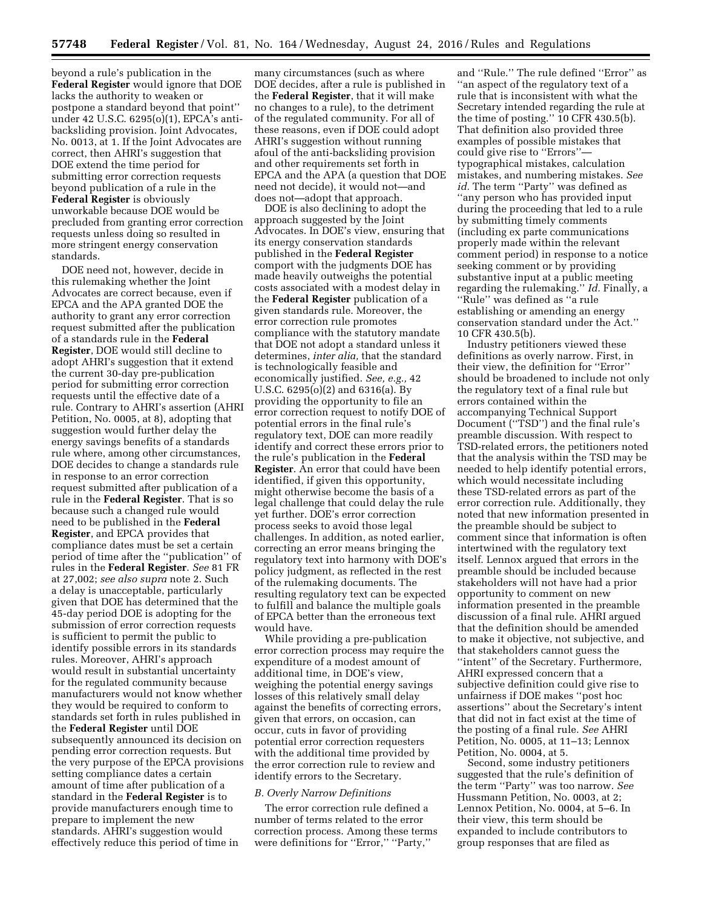beyond a rule's publication in the **Federal Register** would ignore that DOE lacks the authority to weaken or postpone a standard beyond that point'' under 42 U.S.C. 6295(o)(1), EPCA's antibacksliding provision. Joint Advocates, No. 0013, at 1. If the Joint Advocates are correct, then AHRI's suggestion that DOE extend the time period for submitting error correction requests beyond publication of a rule in the **Federal Register** is obviously unworkable because DOE would be precluded from granting error correction requests unless doing so resulted in more stringent energy conservation standards.

DOE need not, however, decide in this rulemaking whether the Joint Advocates are correct because, even if EPCA and the APA granted DOE the authority to grant any error correction request submitted after the publication of a standards rule in the **Federal Register**, DOE would still decline to adopt AHRI's suggestion that it extend the current 30-day pre-publication period for submitting error correction requests until the effective date of a rule. Contrary to AHRI's assertion (AHRI Petition, No. 0005, at 8), adopting that suggestion would further delay the energy savings benefits of a standards rule where, among other circumstances, DOE decides to change a standards rule in response to an error correction request submitted after publication of a rule in the **Federal Register**. That is so because such a changed rule would need to be published in the **Federal Register**, and EPCA provides that compliance dates must be set a certain period of time after the ''publication'' of rules in the **Federal Register**. *See* 81 FR at 27,002; *see also supra* note 2. Such a delay is unacceptable, particularly given that DOE has determined that the 45-day period DOE is adopting for the submission of error correction requests is sufficient to permit the public to identify possible errors in its standards rules. Moreover, AHRI's approach would result in substantial uncertainty for the regulated community because manufacturers would not know whether they would be required to conform to standards set forth in rules published in the **Federal Register** until DOE subsequently announced its decision on pending error correction requests. But the very purpose of the EPCA provisions setting compliance dates a certain amount of time after publication of a standard in the **Federal Register** is to provide manufacturers enough time to prepare to implement the new standards. AHRI's suggestion would effectively reduce this period of time in

many circumstances (such as where DOE decides, after a rule is published in the **Federal Register**, that it will make no changes to a rule), to the detriment of the regulated community. For all of these reasons, even if DOE could adopt AHRI's suggestion without running afoul of the anti-backsliding provision and other requirements set forth in EPCA and the APA (a question that DOE need not decide), it would not—and does not—adopt that approach.

DOE is also declining to adopt the approach suggested by the Joint Advocates. In DOE's view, ensuring that its energy conservation standards published in the **Federal Register**  comport with the judgments DOE has made heavily outweighs the potential costs associated with a modest delay in the **Federal Register** publication of a given standards rule. Moreover, the error correction rule promotes compliance with the statutory mandate that DOE not adopt a standard unless it determines, *inter alia,* that the standard is technologically feasible and economically justified. *See, e.g.,* 42 U.S.C. 6295(o)(2) and 6316(a). By providing the opportunity to file an error correction request to notify DOE of potential errors in the final rule's regulatory text, DOE can more readily identify and correct these errors prior to the rule's publication in the **Federal Register**. An error that could have been identified, if given this opportunity, might otherwise become the basis of a legal challenge that could delay the rule yet further. DOE's error correction process seeks to avoid those legal challenges. In addition, as noted earlier, correcting an error means bringing the regulatory text into harmony with DOE's policy judgment, as reflected in the rest of the rulemaking documents. The resulting regulatory text can be expected to fulfill and balance the multiple goals of EPCA better than the erroneous text would have.

While providing a pre-publication error correction process may require the expenditure of a modest amount of additional time, in DOE's view, weighing the potential energy savings losses of this relatively small delay against the benefits of correcting errors, given that errors, on occasion, can occur, cuts in favor of providing potential error correction requesters with the additional time provided by the error correction rule to review and identify errors to the Secretary.

#### *B. Overly Narrow Definitions*

The error correction rule defined a number of terms related to the error correction process. Among these terms were definitions for "Error," "Party,"

and ''Rule.'' The rule defined ''Error'' as ''an aspect of the regulatory text of a rule that is inconsistent with what the Secretary intended regarding the rule at the time of posting.'' 10 CFR 430.5(b). That definition also provided three examples of possible mistakes that could give rise to ''Errors'' typographical mistakes, calculation mistakes, and numbering mistakes. *See*  id. The term "Party" was defined as ''any person who has provided input during the proceeding that led to a rule by submitting timely comments (including ex parte communications properly made within the relevant comment period) in response to a notice seeking comment or by providing substantive input at a public meeting regarding the rulemaking.'' *Id.* Finally, a ''Rule'' was defined as ''a rule establishing or amending an energy conservation standard under the Act.'' 10 CFR 430.5(b).

Industry petitioners viewed these definitions as overly narrow. First, in their view, the definition for ''Error'' should be broadened to include not only the regulatory text of a final rule but errors contained within the accompanying Technical Support Document (''TSD'') and the final rule's preamble discussion. With respect to TSD-related errors, the petitioners noted that the analysis within the TSD may be needed to help identify potential errors, which would necessitate including these TSD-related errors as part of the error correction rule. Additionally, they noted that new information presented in the preamble should be subject to comment since that information is often intertwined with the regulatory text itself. Lennox argued that errors in the preamble should be included because stakeholders will not have had a prior opportunity to comment on new information presented in the preamble discussion of a final rule. AHRI argued that the definition should be amended to make it objective, not subjective, and that stakeholders cannot guess the ''intent'' of the Secretary. Furthermore, AHRI expressed concern that a subjective definition could give rise to unfairness if DOE makes ''post hoc assertions'' about the Secretary's intent that did not in fact exist at the time of the posting of a final rule. *See* AHRI Petition, No. 0005, at 11–13; Lennox Petition, No. 0004, at 5.

Second, some industry petitioners suggested that the rule's definition of the term ''Party'' was too narrow. *See*  Hussmann Petition, No. 0003, at 2; Lennox Petition, No. 0004, at 5–6. In their view, this term should be expanded to include contributors to group responses that are filed as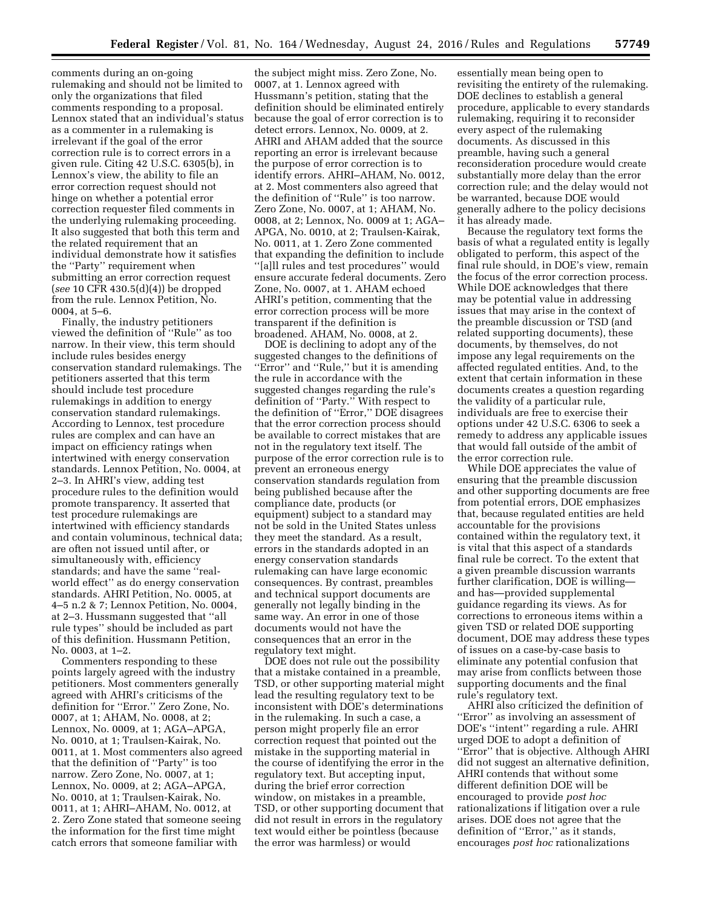comments during an on-going rulemaking and should not be limited to only the organizations that filed comments responding to a proposal. Lennox stated that an individual's status as a commenter in a rulemaking is irrelevant if the goal of the error correction rule is to correct errors in a given rule. Citing 42 U.S.C. 6305(b), in Lennox's view, the ability to file an error correction request should not hinge on whether a potential error correction requester filed comments in the underlying rulemaking proceeding. It also suggested that both this term and the related requirement that an individual demonstrate how it satisfies the ''Party'' requirement when submitting an error correction request (*see* 10 CFR 430.5(d)(4)) be dropped from the rule. Lennox Petition, No. 0004, at 5–6.

Finally, the industry petitioners viewed the definition of ''Rule'' as too narrow. In their view, this term should include rules besides energy conservation standard rulemakings. The petitioners asserted that this term should include test procedure rulemakings in addition to energy conservation standard rulemakings. According to Lennox, test procedure rules are complex and can have an impact on efficiency ratings when intertwined with energy conservation standards. Lennox Petition, No. 0004, at 2–3. In AHRI's view, adding test procedure rules to the definition would promote transparency. It asserted that test procedure rulemakings are intertwined with efficiency standards and contain voluminous, technical data; are often not issued until after, or simultaneously with, efficiency standards; and have the same ''realworld effect'' as do energy conservation standards. AHRI Petition, No. 0005, at 4–5 n.2 & 7; Lennox Petition, No. 0004, at 2–3. Hussmann suggested that ''all rule types'' should be included as part of this definition. Hussmann Petition, No. 0003, at 1–2.

Commenters responding to these points largely agreed with the industry petitioners. Most commenters generally agreed with AHRI's criticisms of the definition for ''Error.'' Zero Zone, No. 0007, at 1; AHAM, No. 0008, at 2; Lennox, No. 0009, at 1; AGA–APGA, No. 0010, at 1; Traulsen-Kairak, No. 0011, at 1. Most commenters also agreed that the definition of ''Party'' is too narrow. Zero Zone, No. 0007, at 1; Lennox, No. 0009, at 2; AGA–APGA, No. 0010, at 1; Traulsen-Kairak, No. 0011, at 1; AHRI–AHAM, No. 0012, at 2. Zero Zone stated that someone seeing the information for the first time might catch errors that someone familiar with

the subject might miss. Zero Zone, No. 0007, at 1. Lennox agreed with Hussmann's petition, stating that the definition should be eliminated entirely because the goal of error correction is to detect errors. Lennox, No. 0009, at 2. AHRI and AHAM added that the source reporting an error is irrelevant because the purpose of error correction is to identify errors. AHRI–AHAM, No. 0012, at 2. Most commenters also agreed that the definition of ''Rule'' is too narrow. Zero Zone, No. 0007, at 1; AHAM, No. 0008, at 2; Lennox, No. 0009 at 1; AGA– APGA, No. 0010, at 2; Traulsen-Kairak, No. 0011, at 1. Zero Zone commented that expanding the definition to include ''[a]ll rules and test procedures'' would ensure accurate federal documents. Zero Zone, No. 0007, at 1. AHAM echoed AHRI's petition, commenting that the error correction process will be more transparent if the definition is broadened. AHAM, No. 0008, at 2.

DOE is declining to adopt any of the suggested changes to the definitions of ''Error'' and ''Rule,'' but it is amending the rule in accordance with the suggested changes regarding the rule's definition of ''Party.'' With respect to the definition of ''Error,'' DOE disagrees that the error correction process should be available to correct mistakes that are not in the regulatory text itself. The purpose of the error correction rule is to prevent an erroneous energy conservation standards regulation from being published because after the compliance date, products (or equipment) subject to a standard may not be sold in the United States unless they meet the standard. As a result, errors in the standards adopted in an energy conservation standards rulemaking can have large economic consequences. By contrast, preambles and technical support documents are generally not legally binding in the same way. An error in one of those documents would not have the consequences that an error in the regulatory text might.

DOE does not rule out the possibility that a mistake contained in a preamble, TSD, or other supporting material might lead the resulting regulatory text to be inconsistent with DOE's determinations in the rulemaking. In such a case, a person might properly file an error correction request that pointed out the mistake in the supporting material in the course of identifying the error in the regulatory text. But accepting input, during the brief error correction window, on mistakes in a preamble, TSD, or other supporting document that did not result in errors in the regulatory text would either be pointless (because the error was harmless) or would

essentially mean being open to revisiting the entirety of the rulemaking. DOE declines to establish a general procedure, applicable to every standards rulemaking, requiring it to reconsider every aspect of the rulemaking documents. As discussed in this preamble, having such a general reconsideration procedure would create substantially more delay than the error correction rule; and the delay would not be warranted, because DOE would generally adhere to the policy decisions it has already made.

Because the regulatory text forms the basis of what a regulated entity is legally obligated to perform, this aspect of the final rule should, in DOE's view, remain the focus of the error correction process. While DOE acknowledges that there may be potential value in addressing issues that may arise in the context of the preamble discussion or TSD (and related supporting documents), these documents, by themselves, do not impose any legal requirements on the affected regulated entities. And, to the extent that certain information in these documents creates a question regarding the validity of a particular rule, individuals are free to exercise their options under 42 U.S.C. 6306 to seek a remedy to address any applicable issues that would fall outside of the ambit of the error correction rule.

While DOE appreciates the value of ensuring that the preamble discussion and other supporting documents are free from potential errors, DOE emphasizes that, because regulated entities are held accountable for the provisions contained within the regulatory text, it is vital that this aspect of a standards final rule be correct. To the extent that a given preamble discussion warrants further clarification, DOE is willing and has—provided supplemental guidance regarding its views. As for corrections to erroneous items within a given TSD or related DOE supporting document, DOE may address these types of issues on a case-by-case basis to eliminate any potential confusion that may arise from conflicts between those supporting documents and the final rule's regulatory text.

AHRI also criticized the definition of "Error" as involving an assessment of DOE's ''intent'' regarding a rule. AHRI urged DOE to adopt a definition of ''Error'' that is objective. Although AHRI did not suggest an alternative definition, AHRI contends that without some different definition DOE will be encouraged to provide *post hoc*  rationalizations if litigation over a rule arises. DOE does not agree that the definition of ''Error,'' as it stands, encourages *post hoc* rationalizations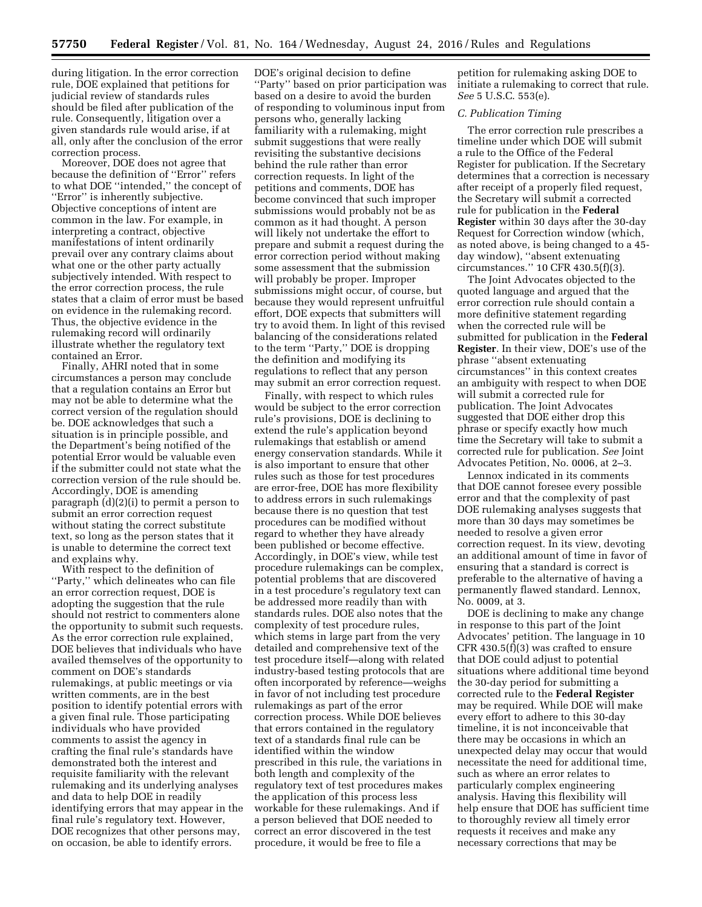during litigation. In the error correction rule, DOE explained that petitions for judicial review of standards rules should be filed after publication of the rule. Consequently, litigation over a given standards rule would arise, if at all, only after the conclusion of the error correction process.

Moreover, DOE does not agree that because the definition of ''Error'' refers to what DOE ''intended,'' the concept of "Error" is inherently subjective. Objective conceptions of intent are common in the law. For example, in interpreting a contract, objective manifestations of intent ordinarily prevail over any contrary claims about what one or the other party actually subjectively intended. With respect to the error correction process, the rule states that a claim of error must be based on evidence in the rulemaking record. Thus, the objective evidence in the rulemaking record will ordinarily illustrate whether the regulatory text contained an Error.

Finally, AHRI noted that in some circumstances a person may conclude that a regulation contains an Error but may not be able to determine what the correct version of the regulation should be. DOE acknowledges that such a situation is in principle possible, and the Department's being notified of the potential Error would be valuable even if the submitter could not state what the correction version of the rule should be. Accordingly, DOE is amending paragraph (d)(2)(i) to permit a person to submit an error correction request without stating the correct substitute text, so long as the person states that it is unable to determine the correct text and explains why.

With respect to the definition of ''Party,'' which delineates who can file an error correction request, DOE is adopting the suggestion that the rule should not restrict to commenters alone the opportunity to submit such requests. As the error correction rule explained, DOE believes that individuals who have availed themselves of the opportunity to comment on DOE's standards rulemakings, at public meetings or via written comments, are in the best position to identify potential errors with a given final rule. Those participating individuals who have provided comments to assist the agency in crafting the final rule's standards have demonstrated both the interest and requisite familiarity with the relevant rulemaking and its underlying analyses and data to help DOE in readily identifying errors that may appear in the final rule's regulatory text. However, DOE recognizes that other persons may, on occasion, be able to identify errors.

DOE's original decision to define ''Party'' based on prior participation was based on a desire to avoid the burden of responding to voluminous input from persons who, generally lacking familiarity with a rulemaking, might submit suggestions that were really revisiting the substantive decisions behind the rule rather than error correction requests. In light of the petitions and comments, DOE has become convinced that such improper submissions would probably not be as common as it had thought. A person will likely not undertake the effort to prepare and submit a request during the error correction period without making some assessment that the submission will probably be proper. Improper submissions might occur, of course, but because they would represent unfruitful effort, DOE expects that submitters will try to avoid them. In light of this revised balancing of the considerations related to the term ''Party,'' DOE is dropping the definition and modifying its regulations to reflect that any person may submit an error correction request.

Finally, with respect to which rules would be subject to the error correction rule's provisions, DOE is declining to extend the rule's application beyond rulemakings that establish or amend energy conservation standards. While it is also important to ensure that other rules such as those for test procedures are error-free, DOE has more flexibility to address errors in such rulemakings because there is no question that test procedures can be modified without regard to whether they have already been published or become effective. Accordingly, in DOE's view, while test procedure rulemakings can be complex, potential problems that are discovered in a test procedure's regulatory text can be addressed more readily than with standards rules. DOE also notes that the complexity of test procedure rules, which stems in large part from the very detailed and comprehensive text of the test procedure itself—along with related industry-based testing protocols that are often incorporated by reference—weighs in favor of not including test procedure rulemakings as part of the error correction process. While DOE believes that errors contained in the regulatory text of a standards final rule can be identified within the window prescribed in this rule, the variations in both length and complexity of the regulatory text of test procedures makes the application of this process less workable for these rulemakings. And if a person believed that DOE needed to correct an error discovered in the test procedure, it would be free to file a

petition for rulemaking asking DOE to initiate a rulemaking to correct that rule. *See* 5 U.S.C. 553(e).

#### *C. Publication Timing*

The error correction rule prescribes a timeline under which DOE will submit a rule to the Office of the Federal Register for publication. If the Secretary determines that a correction is necessary after receipt of a properly filed request, the Secretary will submit a corrected rule for publication in the **Federal Register** within 30 days after the 30-day Request for Correction window (which, as noted above, is being changed to a 45 day window), ''absent extenuating circumstances.'' 10 CFR 430.5(f)(3).

The Joint Advocates objected to the quoted language and argued that the error correction rule should contain a more definitive statement regarding when the corrected rule will be submitted for publication in the **Federal Register**. In their view, DOE's use of the phrase ''absent extenuating circumstances'' in this context creates an ambiguity with respect to when DOE will submit a corrected rule for publication. The Joint Advocates suggested that DOE either drop this phrase or specify exactly how much time the Secretary will take to submit a corrected rule for publication. *See* Joint Advocates Petition, No. 0006, at 2–3.

Lennox indicated in its comments that DOE cannot foresee every possible error and that the complexity of past DOE rulemaking analyses suggests that more than 30 days may sometimes be needed to resolve a given error correction request. In its view, devoting an additional amount of time in favor of ensuring that a standard is correct is preferable to the alternative of having a permanently flawed standard. Lennox, No. 0009, at 3.

DOE is declining to make any change in response to this part of the Joint Advocates' petition. The language in 10 CFR 430.5(f)(3) was crafted to ensure that DOE could adjust to potential situations where additional time beyond the 30-day period for submitting a corrected rule to the **Federal Register**  may be required. While DOE will make every effort to adhere to this 30-day timeline, it is not inconceivable that there may be occasions in which an unexpected delay may occur that would necessitate the need for additional time, such as where an error relates to particularly complex engineering analysis. Having this flexibility will help ensure that DOE has sufficient time to thoroughly review all timely error requests it receives and make any necessary corrections that may be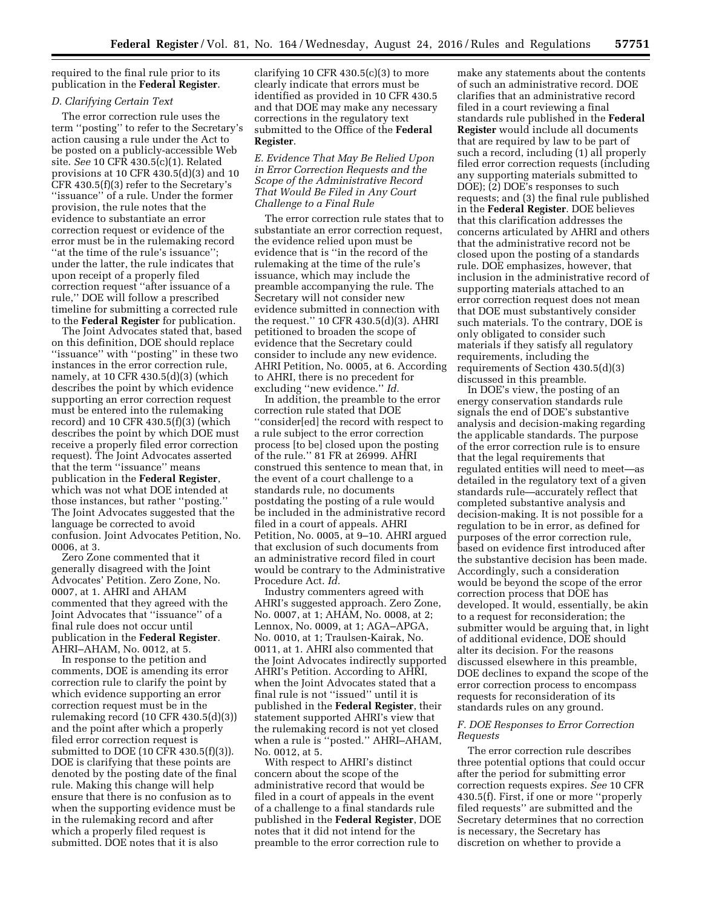required to the final rule prior to its publication in the **Federal Register**.

# *D. Clarifying Certain Text*

The error correction rule uses the term ''posting'' to refer to the Secretary's action causing a rule under the Act to be posted on a publicly-accessible Web site. *See* 10 CFR 430.5(c)(1). Related provisions at 10 CFR 430.5(d)(3) and 10 CFR 430.5(f)(3) refer to the Secretary's ''issuance'' of a rule. Under the former provision, the rule notes that the evidence to substantiate an error correction request or evidence of the error must be in the rulemaking record ''at the time of the rule's issuance''; under the latter, the rule indicates that upon receipt of a properly filed correction request ''after issuance of a rule,'' DOE will follow a prescribed timeline for submitting a corrected rule to the **Federal Register** for publication.

The Joint Advocates stated that, based on this definition, DOE should replace ''issuance'' with ''posting'' in these two instances in the error correction rule, namely, at 10 CFR 430.5(d)(3) (which describes the point by which evidence supporting an error correction request must be entered into the rulemaking record) and 10 CFR 430.5(f)(3) (which describes the point by which DOE must receive a properly filed error correction request). The Joint Advocates asserted that the term ''issuance'' means publication in the **Federal Register**, which was not what DOE intended at those instances, but rather ''posting.'' The Joint Advocates suggested that the language be corrected to avoid confusion. Joint Advocates Petition, No. 0006, at 3.

Zero Zone commented that it generally disagreed with the Joint Advocates' Petition. Zero Zone, No. 0007, at 1. AHRI and AHAM commented that they agreed with the Joint Advocates that ''issuance'' of a final rule does not occur until publication in the **Federal Register**. AHRI–AHAM, No. 0012, at 5.

In response to the petition and comments, DOE is amending its error correction rule to clarify the point by which evidence supporting an error correction request must be in the rulemaking record (10 CFR 430.5(d)(3)) and the point after which a properly filed error correction request is submitted to DOE (10 CFR 430.5(f)(3)). DOE is clarifying that these points are denoted by the posting date of the final rule. Making this change will help ensure that there is no confusion as to when the supporting evidence must be in the rulemaking record and after which a properly filed request is submitted. DOE notes that it is also

clarifying 10 CFR  $430.5(c)(3)$  to more clearly indicate that errors must be identified as provided in 10 CFR 430.5 and that DOE may make any necessary corrections in the regulatory text submitted to the Office of the **Federal Register**.

*E. Evidence That May Be Relied Upon in Error Correction Requests and the Scope of the Administrative Record That Would Be Filed in Any Court Challenge to a Final Rule* 

The error correction rule states that to substantiate an error correction request, the evidence relied upon must be evidence that is ''in the record of the rulemaking at the time of the rule's issuance, which may include the preamble accompanying the rule. The Secretary will not consider new evidence submitted in connection with the request.'' 10 CFR 430.5(d)(3). AHRI petitioned to broaden the scope of evidence that the Secretary could consider to include any new evidence. AHRI Petition, No. 0005, at 6. According to AHRI, there is no precedent for excluding ''new evidence.'' *Id.* 

In addition, the preamble to the error correction rule stated that DOE ''consider[ed] the record with respect to a rule subject to the error correction process [to be] closed upon the posting of the rule.'' 81 FR at 26999. AHRI construed this sentence to mean that, in the event of a court challenge to a standards rule, no documents postdating the posting of a rule would be included in the administrative record filed in a court of appeals. AHRI Petition, No. 0005, at 9–10. AHRI argued that exclusion of such documents from an administrative record filed in court would be contrary to the Administrative Procedure Act. *Id.* 

Industry commenters agreed with AHRI's suggested approach. Zero Zone, No. 0007, at 1; AHAM, No. 0008, at 2; Lennox, No. 0009, at 1; AGA–APGA, No. 0010, at 1; Traulsen-Kairak, No. 0011, at 1. AHRI also commented that the Joint Advocates indirectly supported AHRI's Petition. According to AHRI, when the Joint Advocates stated that a final rule is not ''issued'' until it is published in the **Federal Register**, their statement supported AHRI's view that the rulemaking record is not yet closed when a rule is ''posted.'' AHRI–AHAM, No. 0012, at 5.

With respect to AHRI's distinct concern about the scope of the administrative record that would be filed in a court of appeals in the event of a challenge to a final standards rule published in the **Federal Register**, DOE notes that it did not intend for the preamble to the error correction rule to

make any statements about the contents of such an administrative record. DOE clarifies that an administrative record filed in a court reviewing a final standards rule published in the **Federal Register** would include all documents that are required by law to be part of such a record, including (1) all properly filed error correction requests (including any supporting materials submitted to DOE); (2) DOE's responses to such requests; and (3) the final rule published in the **Federal Register**. DOE believes that this clarification addresses the concerns articulated by AHRI and others that the administrative record not be closed upon the posting of a standards rule. DOE emphasizes, however, that inclusion in the administrative record of supporting materials attached to an error correction request does not mean that DOE must substantively consider such materials. To the contrary, DOE is only obligated to consider such materials if they satisfy all regulatory requirements, including the requirements of Section 430.5(d)(3) discussed in this preamble.

In DOE's view, the posting of an energy conservation standards rule signals the end of DOE's substantive analysis and decision-making regarding the applicable standards. The purpose of the error correction rule is to ensure that the legal requirements that regulated entities will need to meet—as detailed in the regulatory text of a given standards rule—accurately reflect that completed substantive analysis and decision-making. It is not possible for a regulation to be in error, as defined for purposes of the error correction rule, based on evidence first introduced after the substantive decision has been made. Accordingly, such a consideration would be beyond the scope of the error correction process that DOE has developed. It would, essentially, be akin to a request for reconsideration; the submitter would be arguing that, in light of additional evidence, DOE should alter its decision. For the reasons discussed elsewhere in this preamble, DOE declines to expand the scope of the error correction process to encompass requests for reconsideration of its standards rules on any ground.

# *F. DOE Responses to Error Correction Requests*

The error correction rule describes three potential options that could occur after the period for submitting error correction requests expires. *See* 10 CFR 430.5(f). First, if one or more ''properly filed requests'' are submitted and the Secretary determines that no correction is necessary, the Secretary has discretion on whether to provide a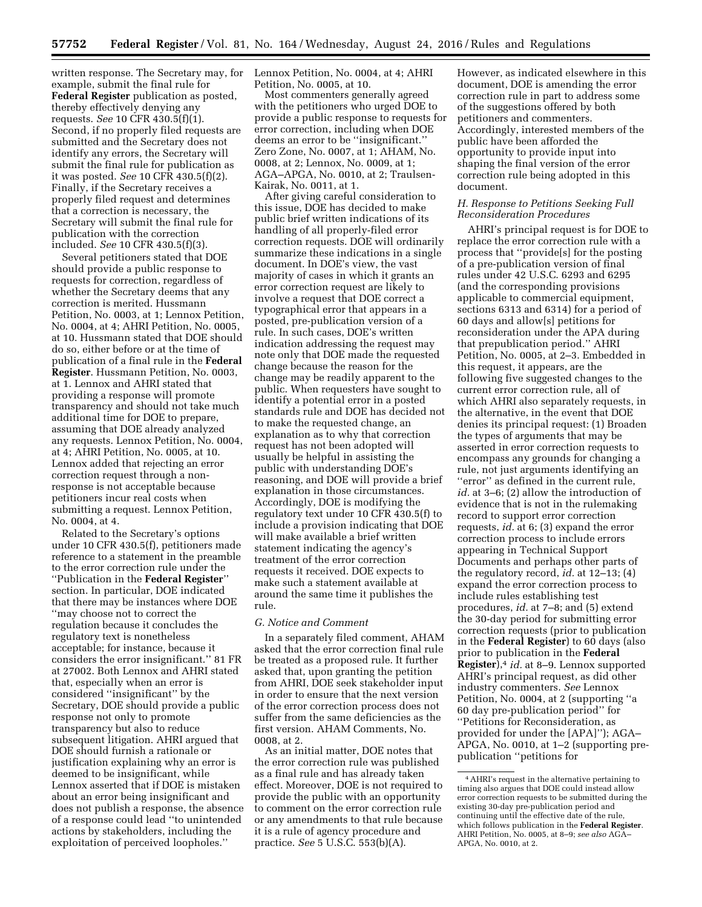written response. The Secretary may, for example, submit the final rule for **Federal Register** publication as posted, thereby effectively denying any requests. *See* 10 CFR 430.5(f)(1). Second, if no properly filed requests are submitted and the Secretary does not identify any errors, the Secretary will submit the final rule for publication as it was posted. *See* 10 CFR 430.5(f)(2). Finally, if the Secretary receives a properly filed request and determines that a correction is necessary, the Secretary will submit the final rule for publication with the correction included. *See* 10 CFR 430.5(f)(3).

Several petitioners stated that DOE should provide a public response to requests for correction, regardless of whether the Secretary deems that any correction is merited. Hussmann Petition, No. 0003, at 1; Lennox Petition, No. 0004, at 4; AHRI Petition, No. 0005, at 10. Hussmann stated that DOE should do so, either before or at the time of publication of a final rule in the **Federal Register**. Hussmann Petition, No. 0003, at 1. Lennox and AHRI stated that providing a response will promote transparency and should not take much additional time for DOE to prepare, assuming that DOE already analyzed any requests. Lennox Petition, No. 0004, at 4; AHRI Petition, No. 0005, at 10. Lennox added that rejecting an error correction request through a nonresponse is not acceptable because petitioners incur real costs when submitting a request. Lennox Petition, No. 0004, at 4.

Related to the Secretary's options under 10 CFR 430.5(f), petitioners made reference to a statement in the preamble to the error correction rule under the ''Publication in the **Federal Register**'' section. In particular, DOE indicated that there may be instances where DOE ''may choose not to correct the regulation because it concludes the regulatory text is nonetheless acceptable; for instance, because it considers the error insignificant.'' 81 FR at 27002. Both Lennox and AHRI stated that, especially when an error is considered ''insignificant'' by the Secretary, DOE should provide a public response not only to promote transparency but also to reduce subsequent litigation. AHRI argued that DOE should furnish a rationale or justification explaining why an error is deemed to be insignificant, while Lennox asserted that if DOE is mistaken about an error being insignificant and does not publish a response, the absence of a response could lead ''to unintended actions by stakeholders, including the exploitation of perceived loopholes.''

Lennox Petition, No. 0004, at 4; AHRI Petition, No. 0005, at 10.

Most commenters generally agreed with the petitioners who urged DOE to provide a public response to requests for error correction, including when DOE deems an error to be ''insignificant.'' Zero Zone, No. 0007, at 1; AHAM, No. 0008, at 2; Lennox, No. 0009, at 1; AGA–APGA, No. 0010, at 2; Traulsen-Kairak, No. 0011, at 1.

After giving careful consideration to this issue, DOE has decided to make public brief written indications of its handling of all properly-filed error correction requests. DOE will ordinarily summarize these indications in a single document. In DOE's view, the vast majority of cases in which it grants an error correction request are likely to involve a request that DOE correct a typographical error that appears in a posted, pre-publication version of a rule. In such cases, DOE's written indication addressing the request may note only that DOE made the requested change because the reason for the change may be readily apparent to the public. When requesters have sought to identify a potential error in a posted standards rule and DOE has decided not to make the requested change, an explanation as to why that correction request has not been adopted will usually be helpful in assisting the public with understanding DOE's reasoning, and DOE will provide a brief explanation in those circumstances. Accordingly, DOE is modifying the regulatory text under 10 CFR 430.5(f) to include a provision indicating that DOE will make available a brief written statement indicating the agency's treatment of the error correction requests it received. DOE expects to make such a statement available at around the same time it publishes the rule.

#### *G. Notice and Comment*

In a separately filed comment, AHAM asked that the error correction final rule be treated as a proposed rule. It further asked that, upon granting the petition from AHRI, DOE seek stakeholder input in order to ensure that the next version of the error correction process does not suffer from the same deficiencies as the first version. AHAM Comments, No. 0008, at 2.

As an initial matter, DOE notes that the error correction rule was published as a final rule and has already taken effect. Moreover, DOE is not required to provide the public with an opportunity to comment on the error correction rule or any amendments to that rule because it is a rule of agency procedure and practice. *See* 5 U.S.C. 553(b)(A).

However, as indicated elsewhere in this document, DOE is amending the error correction rule in part to address some of the suggestions offered by both petitioners and commenters. Accordingly, interested members of the public have been afforded the opportunity to provide input into shaping the final version of the error correction rule being adopted in this document.

### *H. Response to Petitions Seeking Full Reconsideration Procedures*

AHRI's principal request is for DOE to replace the error correction rule with a process that ''provide[s] for the posting of a pre-publication version of final rules under 42 U.S.C. 6293 and 6295 (and the corresponding provisions applicable to commercial equipment, sections 6313 and 6314) for a period of 60 days and allow[s] petitions for reconsideration under the APA during that prepublication period.'' AHRI Petition, No. 0005, at 2–3. Embedded in this request, it appears, are the following five suggested changes to the current error correction rule, all of which AHRI also separately requests, in the alternative, in the event that DOE denies its principal request: (1) Broaden the types of arguments that may be asserted in error correction requests to encompass any grounds for changing a rule, not just arguments identifying an ''error'' as defined in the current rule, *id.* at 3–6; (2) allow the introduction of evidence that is not in the rulemaking record to support error correction requests, *id.* at 6; (3) expand the error correction process to include errors appearing in Technical Support Documents and perhaps other parts of the regulatory record, *id.* at 12–13; (4) expand the error correction process to include rules establishing test procedures, *id.* at 7–8; and (5) extend the 30-day period for submitting error correction requests (prior to publication in the **Federal Register**) to 60 days (also prior to publication in the **Federal Register**),4 *id.* at 8–9. Lennox supported AHRI's principal request, as did other industry commenters. *See* Lennox Petition, No. 0004, at 2 (supporting ''a 60 day pre-publication period'' for ''Petitions for Reconsideration, as provided for under the [APA]''); AGA– APGA, No. 0010, at 1–2 (supporting prepublication ''petitions for

<sup>4</sup>AHRI's request in the alternative pertaining to timing also argues that DOE could instead allow error correction requests to be submitted during the existing 30-day pre-publication period and continuing until the effective date of the rule, which follows publication in the **Federal Register**. AHRI Petition, No. 0005, at 8–9; *see also* AGA– APGA, No. 0010, at 2.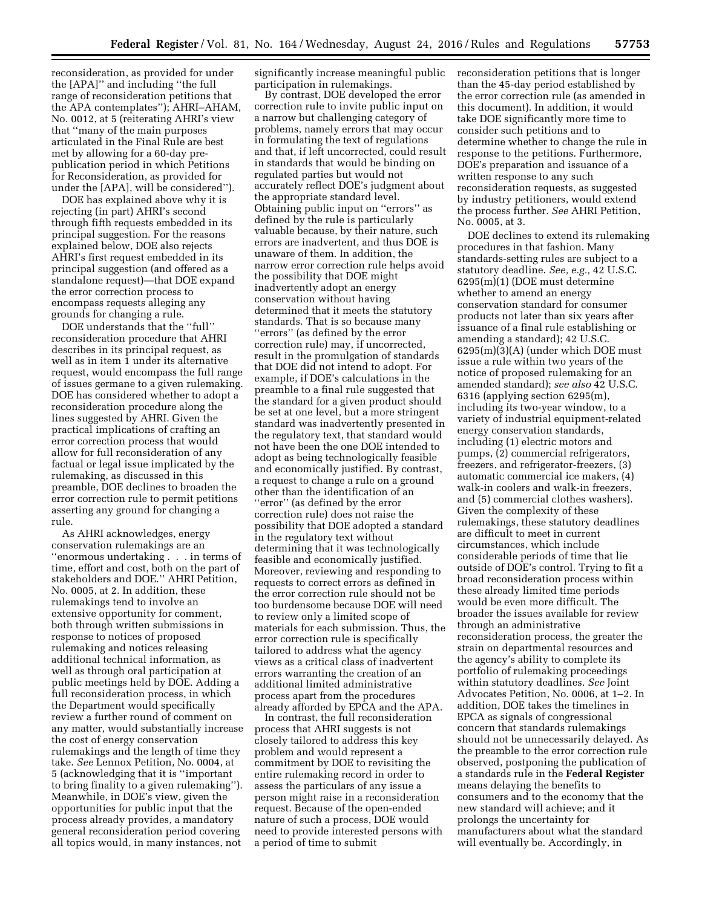reconsideration, as provided for under the [APA]'' and including ''the full range of reconsideration petitions that the APA contemplates''); AHRI–AHAM, No. 0012, at 5 (reiterating AHRI's view that ''many of the main purposes articulated in the Final Rule are best met by allowing for a 60-day prepublication period in which Petitions for Reconsideration, as provided for under the [APA], will be considered'').

DOE has explained above why it is rejecting (in part) AHRI's second through fifth requests embedded in its principal suggestion. For the reasons explained below, DOE also rejects AHRI's first request embedded in its principal suggestion (and offered as a standalone request)—that DOE expand the error correction process to encompass requests alleging any grounds for changing a rule.

DOE understands that the ''full'' reconsideration procedure that AHRI describes in its principal request, as well as in item 1 under its alternative request, would encompass the full range of issues germane to a given rulemaking. DOE has considered whether to adopt a reconsideration procedure along the lines suggested by AHRI. Given the practical implications of crafting an error correction process that would allow for full reconsideration of any factual or legal issue implicated by the rulemaking, as discussed in this preamble, DOE declines to broaden the error correction rule to permit petitions asserting any ground for changing a rule.

As AHRI acknowledges, energy conservation rulemakings are an ''enormous undertaking . . . in terms of time, effort and cost, both on the part of stakeholders and DOE.'' AHRI Petition, No. 0005, at 2. In addition, these rulemakings tend to involve an extensive opportunity for comment, both through written submissions in response to notices of proposed rulemaking and notices releasing additional technical information, as well as through oral participation at public meetings held by DOE. Adding a full reconsideration process, in which the Department would specifically review a further round of comment on any matter, would substantially increase the cost of energy conservation rulemakings and the length of time they take. *See* Lennox Petition, No. 0004, at 5 (acknowledging that it is ''important to bring finality to a given rulemaking''). Meanwhile, in DOE's view, given the opportunities for public input that the process already provides, a mandatory general reconsideration period covering all topics would, in many instances, not

significantly increase meaningful public participation in rulemakings.

By contrast, DOE developed the error correction rule to invite public input on a narrow but challenging category of problems, namely errors that may occur in formulating the text of regulations and that, if left uncorrected, could result in standards that would be binding on regulated parties but would not accurately reflect DOE's judgment about the appropriate standard level. Obtaining public input on ''errors'' as defined by the rule is particularly valuable because, by their nature, such errors are inadvertent, and thus DOE is unaware of them. In addition, the narrow error correction rule helps avoid the possibility that DOE might inadvertently adopt an energy conservation without having determined that it meets the statutory standards. That is so because many ''errors'' (as defined by the error correction rule) may, if uncorrected, result in the promulgation of standards that DOE did not intend to adopt. For example, if DOE's calculations in the preamble to a final rule suggested that the standard for a given product should be set at one level, but a more stringent standard was inadvertently presented in the regulatory text, that standard would not have been the one DOE intended to adopt as being technologically feasible and economically justified. By contrast, a request to change a rule on a ground other than the identification of an ''error'' (as defined by the error correction rule) does not raise the possibility that DOE adopted a standard in the regulatory text without determining that it was technologically feasible and economically justified. Moreover, reviewing and responding to requests to correct errors as defined in the error correction rule should not be too burdensome because DOE will need to review only a limited scope of materials for each submission. Thus, the error correction rule is specifically tailored to address what the agency views as a critical class of inadvertent errors warranting the creation of an additional limited administrative process apart from the procedures already afforded by EPCA and the APA.

In contrast, the full reconsideration process that AHRI suggests is not closely tailored to address this key problem and would represent a commitment by DOE to revisiting the entire rulemaking record in order to assess the particulars of any issue a person might raise in a reconsideration request. Because of the open-ended nature of such a process, DOE would need to provide interested persons with a period of time to submit

reconsideration petitions that is longer than the 45-day period established by the error correction rule (as amended in this document). In addition, it would take DOE significantly more time to consider such petitions and to determine whether to change the rule in response to the petitions. Furthermore, DOE's preparation and issuance of a written response to any such reconsideration requests, as suggested by industry petitioners, would extend the process further. *See* AHRI Petition, No. 0005, at 3.

DOE declines to extend its rulemaking procedures in that fashion. Many standards-setting rules are subject to a statutory deadline. *See, e.g.,* 42 U.S.C. 6295(m)(1) (DOE must determine whether to amend an energy conservation standard for consumer products not later than six years after issuance of a final rule establishing or amending a standard); 42 U.S.C. 6295(m)(3)(A) (under which DOE must issue a rule within two years of the notice of proposed rulemaking for an amended standard); *see also* 42 U.S.C. 6316 (applying section 6295(m), including its two-year window, to a variety of industrial equipment-related energy conservation standards, including (1) electric motors and pumps, (2) commercial refrigerators, freezers, and refrigerator-freezers, (3) automatic commercial ice makers, (4) walk-in coolers and walk-in freezers, and (5) commercial clothes washers). Given the complexity of these rulemakings, these statutory deadlines are difficult to meet in current circumstances, which include considerable periods of time that lie outside of DOE's control. Trying to fit a broad reconsideration process within these already limited time periods would be even more difficult. The broader the issues available for review through an administrative reconsideration process, the greater the strain on departmental resources and the agency's ability to complete its portfolio of rulemaking proceedings within statutory deadlines. *See* Joint Advocates Petition, No. 0006, at 1–2. In addition, DOE takes the timelines in EPCA as signals of congressional concern that standards rulemakings should not be unnecessarily delayed. As the preamble to the error correction rule observed, postponing the publication of a standards rule in the **Federal Register**  means delaying the benefits to consumers and to the economy that the new standard will achieve; and it prolongs the uncertainty for manufacturers about what the standard will eventually be. Accordingly, in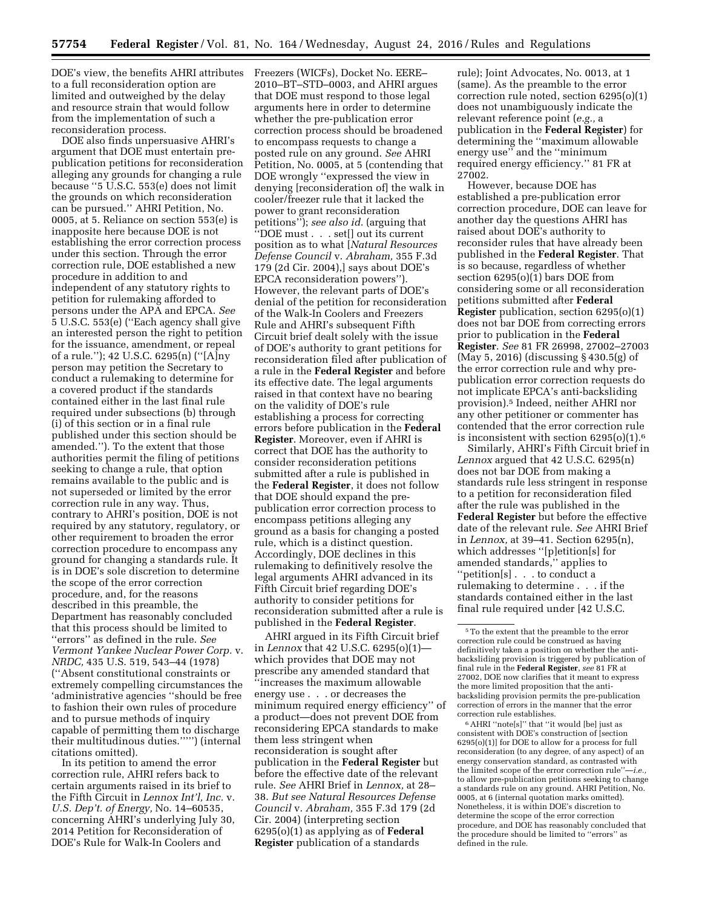DOE's view, the benefits AHRI attributes to a full reconsideration option are limited and outweighed by the delay and resource strain that would follow from the implementation of such a reconsideration process.

DOE also finds unpersuasive AHRI's argument that DOE must entertain prepublication petitions for reconsideration alleging any grounds for changing a rule because ''5 U.S.C. 553(e) does not limit the grounds on which reconsideration can be pursued.'' AHRI Petition, No. 0005, at 5. Reliance on section 553(e) is inapposite here because DOE is not establishing the error correction process under this section. Through the error correction rule, DOE established a new procedure in addition to and independent of any statutory rights to petition for rulemaking afforded to persons under the APA and EPCA. *See*  5 U.S.C. 553(e) (''Each agency shall give an interested person the right to petition for the issuance, amendment, or repeal of a rule.''); 42 U.S.C. 6295(n) (''[A]ny person may petition the Secretary to conduct a rulemaking to determine for a covered product if the standards contained either in the last final rule required under subsections (b) through (i) of this section or in a final rule published under this section should be amended.''). To the extent that those authorities permit the filing of petitions seeking to change a rule, that option remains available to the public and is not superseded or limited by the error correction rule in any way. Thus, contrary to AHRI's position, DOE is not required by any statutory, regulatory, or other requirement to broaden the error correction procedure to encompass any ground for changing a standards rule. It is in DOE's sole discretion to determine the scope of the error correction procedure, and, for the reasons described in this preamble, the Department has reasonably concluded that this process should be limited to ''errors'' as defined in the rule. *See Vermont Yankee Nuclear Power Corp.* v. *NRDC,* 435 U.S. 519, 543–44 (1978) (''Absent constitutional constraints or extremely compelling circumstances the 'administrative agencies ''should be free to fashion their own rules of procedure and to pursue methods of inquiry capable of permitting them to discharge their multitudinous duties.''''') (internal citations omitted).

In its petition to amend the error correction rule, AHRI refers back to certain arguments raised in its brief to the Fifth Circuit in *Lennox Int'l, Inc.* v. *U.S. Dep't. of Energy,* No. 14–60535, concerning AHRI's underlying July 30, 2014 Petition for Reconsideration of DOE's Rule for Walk-In Coolers and

Freezers (WICFs), Docket No. EERE– 2010–BT–STD–0003, and AHRI argues that DOE must respond to those legal arguments here in order to determine whether the pre-publication error correction process should be broadened to encompass requests to change a posted rule on any ground. *See* AHRI Petition, No. 0005, at 5 (contending that DOE wrongly ''expressed the view in denying [reconsideration of] the walk in cooler/freezer rule that it lacked the power to grant reconsideration petitions''); *see also id.* (arguing that ''DOE must . . . set[] out its current position as to what [*Natural Resources Defense Council* v. *Abraham,* 355 F.3d 179 (2d Cir. 2004),] says about DOE's EPCA reconsideration powers''). However, the relevant parts of DOE's denial of the petition for reconsideration of the Walk-In Coolers and Freezers Rule and AHRI's subsequent Fifth Circuit brief dealt solely with the issue of DOE's authority to grant petitions for reconsideration filed after publication of a rule in the **Federal Register** and before its effective date. The legal arguments raised in that context have no bearing on the validity of DOE's rule establishing a process for correcting errors before publication in the **Federal Register**. Moreover, even if AHRI is correct that DOE has the authority to consider reconsideration petitions submitted after a rule is published in the **Federal Register**, it does not follow that DOE should expand the prepublication error correction process to encompass petitions alleging any ground as a basis for changing a posted rule, which is a distinct question. Accordingly, DOE declines in this rulemaking to definitively resolve the legal arguments AHRI advanced in its Fifth Circuit brief regarding DOE's authority to consider petitions for reconsideration submitted after a rule is published in the **Federal Register**.

AHRI argued in its Fifth Circuit brief in *Lennox* that 42 U.S.C. 6295(o)(1) which provides that DOE may not prescribe any amended standard that ''increases the maximum allowable energy use . . . or decreases the minimum required energy efficiency'' of a product—does not prevent DOE from reconsidering EPCA standards to make them less stringent when reconsideration is sought after publication in the **Federal Register** but before the effective date of the relevant rule. *See* AHRI Brief in *Lennox,* at 28– 38. *But see Natural Resources Defense Council* v. *Abraham,* 355 F.3d 179 (2d Cir. 2004) (interpreting section 6295(o)(1) as applying as of **Federal Register** publication of a standards

rule); Joint Advocates, No. 0013, at 1 (same). As the preamble to the error correction rule noted, section 6295(o)(1) does not unambiguously indicate the relevant reference point (*e.g.,* a publication in the **Federal Register**) for determining the ''maximum allowable energy use'' and the ''minimum required energy efficiency.'' 81 FR at 27002.

However, because DOE has established a pre-publication error correction procedure, DOE can leave for another day the questions AHRI has raised about DOE's authority to reconsider rules that have already been published in the **Federal Register**. That is so because, regardless of whether section 6295(o)(1) bars DOE from considering some or all reconsideration petitions submitted after **Federal Register** publication, section 6295(o)(1) does not bar DOE from correcting errors prior to publication in the **Federal Register**. *See* 81 FR 26998, 27002–27003 (May 5, 2016) (discussing § 430.5(g) of the error correction rule and why prepublication error correction requests do not implicate EPCA's anti-backsliding provision).5 Indeed, neither AHRI nor any other petitioner or commenter has contended that the error correction rule is inconsistent with section 6295(o)(1).6

Similarly, AHRI's Fifth Circuit brief in *Lennox* argued that 42 U.S.C. 6295(n) does not bar DOE from making a standards rule less stringent in response to a petition for reconsideration filed after the rule was published in the **Federal Register** but before the effective date of the relevant rule. *See* AHRI Brief in *Lennox,* at 39–41. Section 6295(n), which addresses ''[p]etition[s] for amended standards,'' applies to ''petition[s] . . . to conduct a rulemaking to determine . . . if the standards contained either in the last final rule required under [42 U.S.C.

6AHRI ''note[s]'' that ''it would [be] just as consistent with DOE's construction of [section 6295(o)(1)] for DOE to allow for a process for full reconsideration (to any degree, of any aspect) of an energy conservation standard, as contrasted with the limited scope of the error correction rule''—*i.e.,*  to allow pre-publication petitions seeking to change a standards rule on any ground. AHRI Petition, No. 0005, at 6 (internal quotation marks omitted). Nonetheless, it is within DOE's discretion to determine the scope of the error correction procedure, and DOE has reasonably concluded that the procedure should be limited to ''errors'' as defined in the rule.

<sup>5</sup>To the extent that the preamble to the error correction rule could be construed as having definitively taken a position on whether the antibacksliding provision is triggered by publication of final rule in the **Federal Register**, *see* 81 FR at 27002, DOE now clarifies that it meant to express the more limited proposition that the antibacksliding provision permits the pre-publication correction of errors in the manner that the error correction rule establishes.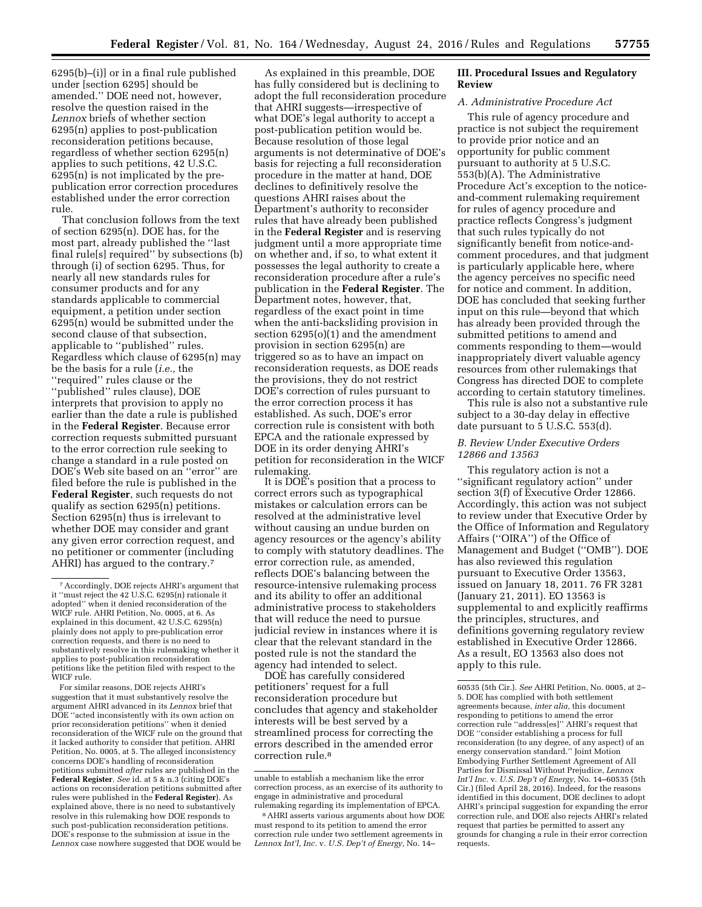6295(b)–(i)] or in a final rule published under [section 6295] should be amended.'' DOE need not, however, resolve the question raised in the *Lennox* briefs of whether section 6295(n) applies to post-publication reconsideration petitions because, regardless of whether section 6295(n) applies to such petitions, 42 U.S.C. 6295(n) is not implicated by the prepublication error correction procedures established under the error correction rule.

That conclusion follows from the text of section 6295(n). DOE has, for the most part, already published the ''last final rule[s] required'' by subsections (b) through (i) of section 6295. Thus, for nearly all new standards rules for consumer products and for any standards applicable to commercial equipment, a petition under section 6295(n) would be submitted under the second clause of that subsection, applicable to ''published'' rules. Regardless which clause of 6295(n) may be the basis for a rule (*i.e.,* the ''required'' rules clause or the ''published'' rules clause), DOE interprets that provision to apply no earlier than the date a rule is published in the **Federal Register**. Because error correction requests submitted pursuant to the error correction rule seeking to change a standard in a rule posted on DOE's Web site based on an ''error'' are filed before the rule is published in the **Federal Register**, such requests do not qualify as section 6295(n) petitions. Section 6295(n) thus is irrelevant to whether DOE may consider and grant any given error correction request, and no petitioner or commenter (including AHRI) has argued to the contrary.7

For similar reasons, DOE rejects AHRI's suggestion that it must substantively resolve the argument AHRI advanced in its *Lennox* brief that DOE ''acted inconsistently with its own action on prior reconsideration petitions'' when it denied reconsideration of the WICF rule on the ground that it lacked authority to consider that petition. AHRI Petition, No. 0005, at 5. The alleged inconsistency concerns DOE's handling of reconsideration petitions submitted *after* rules are published in the **Federal Register**. *See* id. at 5 & n.3 (citing DOE's actions on reconsideration petitions submitted after rules were published in the **Federal Register**). As explained above, there is no need to substantively resolve in this rulemaking how DOE responds to such post-publication reconsideration petitions. DOE's response to the submission at issue in the *Lennox* case nowhere suggested that DOE would be

As explained in this preamble, DOE has fully considered but is declining to adopt the full reconsideration procedure that AHRI suggests—irrespective of what DOE's legal authority to accept a post-publication petition would be. Because resolution of those legal arguments is not determinative of DOE's basis for rejecting a full reconsideration procedure in the matter at hand, DOE declines to definitively resolve the questions AHRI raises about the Department's authority to reconsider rules that have already been published in the **Federal Register** and is reserving judgment until a more appropriate time on whether and, if so, to what extent it possesses the legal authority to create a reconsideration procedure after a rule's publication in the **Federal Register**. The Department notes, however, that, regardless of the exact point in time when the anti-backsliding provision in section 6295(o)(1) and the amendment provision in section 6295(n) are triggered so as to have an impact on reconsideration requests, as DOE reads the provisions, they do not restrict DOE's correction of rules pursuant to the error correction process it has established. As such, DOE's error correction rule is consistent with both EPCA and the rationale expressed by DOE in its order denying AHRI's petition for reconsideration in the WICF rulemaking.

It is DOE's position that a process to correct errors such as typographical mistakes or calculation errors can be resolved at the administrative level without causing an undue burden on agency resources or the agency's ability to comply with statutory deadlines. The error correction rule, as amended, reflects DOE's balancing between the resource-intensive rulemaking process and its ability to offer an additional administrative process to stakeholders that will reduce the need to pursue judicial review in instances where it is clear that the relevant standard in the posted rule is not the standard the agency had intended to select.

DOE has carefully considered petitioners' request for a full reconsideration procedure but concludes that agency and stakeholder interests will be best served by a streamlined process for correcting the errors described in the amended error correction rule.8

# **III. Procedural Issues and Regulatory Review**

#### *A. Administrative Procedure Act*

This rule of agency procedure and practice is not subject the requirement to provide prior notice and an opportunity for public comment pursuant to authority at 5 U.S.C. 553(b)(A). The Administrative Procedure Act's exception to the noticeand-comment rulemaking requirement for rules of agency procedure and practice reflects Congress's judgment that such rules typically do not significantly benefit from notice-andcomment procedures, and that judgment is particularly applicable here, where the agency perceives no specific need for notice and comment. In addition, DOE has concluded that seeking further input on this rule—beyond that which has already been provided through the submitted petitions to amend and comments responding to them—would inappropriately divert valuable agency resources from other rulemakings that Congress has directed DOE to complete according to certain statutory timelines.

This rule is also not a substantive rule subject to a 30-day delay in effective date pursuant to 5 U.S.C. 553(d).

# *B. Review Under Executive Orders 12866 and 13563*

This regulatory action is not a ''significant regulatory action'' under section 3(f) of Executive Order 12866. Accordingly, this action was not subject to review under that Executive Order by the Office of Information and Regulatory Affairs (''OIRA'') of the Office of Management and Budget (''OMB''). DOE has also reviewed this regulation pursuant to Executive Order 13563, issued on January 18, 2011. 76 FR 3281 (January 21, 2011). EO 13563 is supplemental to and explicitly reaffirms the principles, structures, and definitions governing regulatory review established in Executive Order 12866. As a result, EO 13563 also does not apply to this rule.

<sup>7</sup>Accordingly, DOE rejects AHRI's argument that it ''must reject the 42 U.S.C. 6295(n) rationale it adopted'' when it denied reconsideration of the WICF rule. AHRI Petition, No. 0005, at 6. As explained in this document, 42 U.S.C. 6295(n) plainly does not apply to pre-publication error correction requests, and there is no need to substantively resolve in this rulemaking whether it applies to post-publication reconsideration petitions like the petition filed with respect to the WICF rule.

unable to establish a mechanism like the error correction process, as an exercise of its authority to engage in administrative and procedural rulemaking regarding its implementation of EPCA.

<sup>8</sup>AHRI asserts various arguments about how DOE must respond to its petition to amend the error correction rule under two settlement agreements in *Lennox Int'l, Inc.* v. *U.S. Dep't of Energy,* No. 14–

<sup>60535 (5</sup>th Cir.). *See* AHRI Petition, No. 0005, at 2– 5. DOE has complied with both settlement agreements because, *inter alia,* this document responding to petitions to amend the error correction rule ''address[es]'' AHRI's request that DOE ''consider establishing a process for full reconsideration (to any degree, of any aspect) of an energy conservation standard.'' Joint Motion Embodying Further Settlement Agreement of All Parties for Dismissal Without Prejudice, *Lennox Int'l Inc.* v. *U.S. Dep't of Energy,* No. 14–60535 (5th Cir.) (filed April 28, 2016). Indeed, for the reasons identified in this document, DOE declines to adopt AHRI's principal suggestion for expanding the error correction rule, and DOE also rejects AHRI's related request that parties be permitted to assert any grounds for changing a rule in their error correction requests.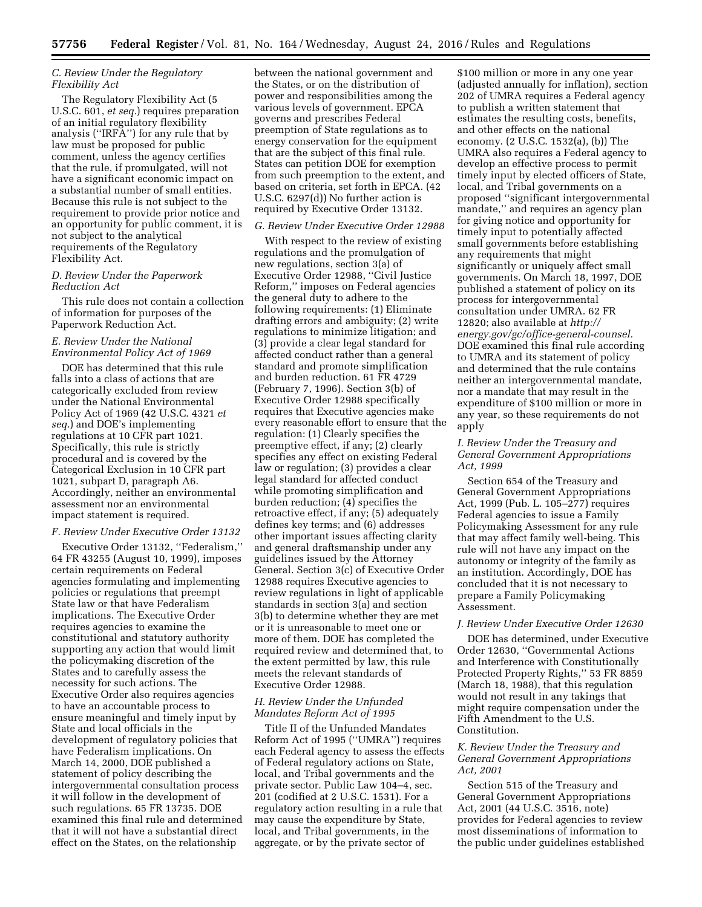# *C. Review Under the Regulatory Flexibility Act*

The Regulatory Flexibility Act (5 U.S.C. 601, *et seq.*) requires preparation of an initial regulatory flexibility analysis (''IRFA'') for any rule that by law must be proposed for public comment, unless the agency certifies that the rule, if promulgated, will not have a significant economic impact on a substantial number of small entities. Because this rule is not subject to the requirement to provide prior notice and an opportunity for public comment, it is not subject to the analytical requirements of the Regulatory Flexibility Act.

# *D. Review Under the Paperwork Reduction Act*

This rule does not contain a collection of information for purposes of the Paperwork Reduction Act.

# *E. Review Under the National Environmental Policy Act of 1969*

DOE has determined that this rule falls into a class of actions that are categorically excluded from review under the National Environmental Policy Act of 1969 (42 U.S.C. 4321 *et seq.*) and DOE's implementing regulations at 10 CFR part 1021. Specifically, this rule is strictly procedural and is covered by the Categorical Exclusion in 10 CFR part 1021, subpart D, paragraph A6. Accordingly, neither an environmental assessment nor an environmental impact statement is required.

# *F. Review Under Executive Order 13132*

Executive Order 13132, ''Federalism,'' 64 FR 43255 (August 10, 1999), imposes certain requirements on Federal agencies formulating and implementing policies or regulations that preempt State law or that have Federalism implications. The Executive Order requires agencies to examine the constitutional and statutory authority supporting any action that would limit the policymaking discretion of the States and to carefully assess the necessity for such actions. The Executive Order also requires agencies to have an accountable process to ensure meaningful and timely input by State and local officials in the development of regulatory policies that have Federalism implications. On March 14, 2000, DOE published a statement of policy describing the intergovernmental consultation process it will follow in the development of such regulations. 65 FR 13735. DOE examined this final rule and determined that it will not have a substantial direct effect on the States, on the relationship

between the national government and the States, or on the distribution of power and responsibilities among the various levels of government. EPCA governs and prescribes Federal preemption of State regulations as to energy conservation for the equipment that are the subject of this final rule. States can petition DOE for exemption from such preemption to the extent, and based on criteria, set forth in EPCA. (42 U.S.C. 6297(d)) No further action is required by Executive Order 13132.

#### *G. Review Under Executive Order 12988*

With respect to the review of existing regulations and the promulgation of new regulations, section 3(a) of Executive Order 12988, ''Civil Justice Reform,'' imposes on Federal agencies the general duty to adhere to the following requirements: (1) Eliminate drafting errors and ambiguity; (2) write regulations to minimize litigation; and (3) provide a clear legal standard for affected conduct rather than a general standard and promote simplification and burden reduction. 61 FR 4729 (February 7, 1996). Section 3(b) of Executive Order 12988 specifically requires that Executive agencies make every reasonable effort to ensure that the regulation: (1) Clearly specifies the preemptive effect, if any; (2) clearly specifies any effect on existing Federal law or regulation; (3) provides a clear legal standard for affected conduct while promoting simplification and burden reduction; (4) specifies the retroactive effect, if any; (5) adequately defines key terms; and (6) addresses other important issues affecting clarity and general draftsmanship under any guidelines issued by the Attorney General. Section 3(c) of Executive Order 12988 requires Executive agencies to review regulations in light of applicable standards in section 3(a) and section 3(b) to determine whether they are met or it is unreasonable to meet one or more of them. DOE has completed the required review and determined that, to the extent permitted by law, this rule meets the relevant standards of Executive Order 12988.

### *H. Review Under the Unfunded Mandates Reform Act of 1995*

Title II of the Unfunded Mandates Reform Act of 1995 (''UMRA'') requires each Federal agency to assess the effects of Federal regulatory actions on State, local, and Tribal governments and the private sector. Public Law 104–4, sec. 201 (codified at 2 U.S.C. 1531). For a regulatory action resulting in a rule that may cause the expenditure by State, local, and Tribal governments, in the aggregate, or by the private sector of

\$100 million or more in any one year (adjusted annually for inflation), section 202 of UMRA requires a Federal agency to publish a written statement that estimates the resulting costs, benefits, and other effects on the national economy. (2 U.S.C. 1532(a), (b)) The UMRA also requires a Federal agency to develop an effective process to permit timely input by elected officers of State, local, and Tribal governments on a proposed ''significant intergovernmental mandate,'' and requires an agency plan for giving notice and opportunity for timely input to potentially affected small governments before establishing any requirements that might significantly or uniquely affect small governments. On March 18, 1997, DOE published a statement of policy on its process for intergovernmental consultation under UMRA. 62 FR 12820; also available at *[http://](http://energy.gov/gc/office-general-counsel) [energy.gov/gc/office-general-counsel.](http://energy.gov/gc/office-general-counsel)*  DOE examined this final rule according to UMRA and its statement of policy and determined that the rule contains neither an intergovernmental mandate, nor a mandate that may result in the expenditure of \$100 million or more in any year, so these requirements do not apply

#### *I. Review Under the Treasury and General Government Appropriations Act, 1999*

Section 654 of the Treasury and General Government Appropriations Act, 1999 (Pub. L. 105–277) requires Federal agencies to issue a Family Policymaking Assessment for any rule that may affect family well-being. This rule will not have any impact on the autonomy or integrity of the family as an institution. Accordingly, DOE has concluded that it is not necessary to prepare a Family Policymaking Assessment.

# *J. Review Under Executive Order 12630*

DOE has determined, under Executive Order 12630, ''Governmental Actions and Interference with Constitutionally Protected Property Rights,'' 53 FR 8859 (March 18, 1988), that this regulation would not result in any takings that might require compensation under the Fifth Amendment to the U.S. Constitution.

# *K. Review Under the Treasury and General Government Appropriations Act, 2001*

Section 515 of the Treasury and General Government Appropriations Act, 2001 (44 U.S.C. 3516, note) provides for Federal agencies to review most disseminations of information to the public under guidelines established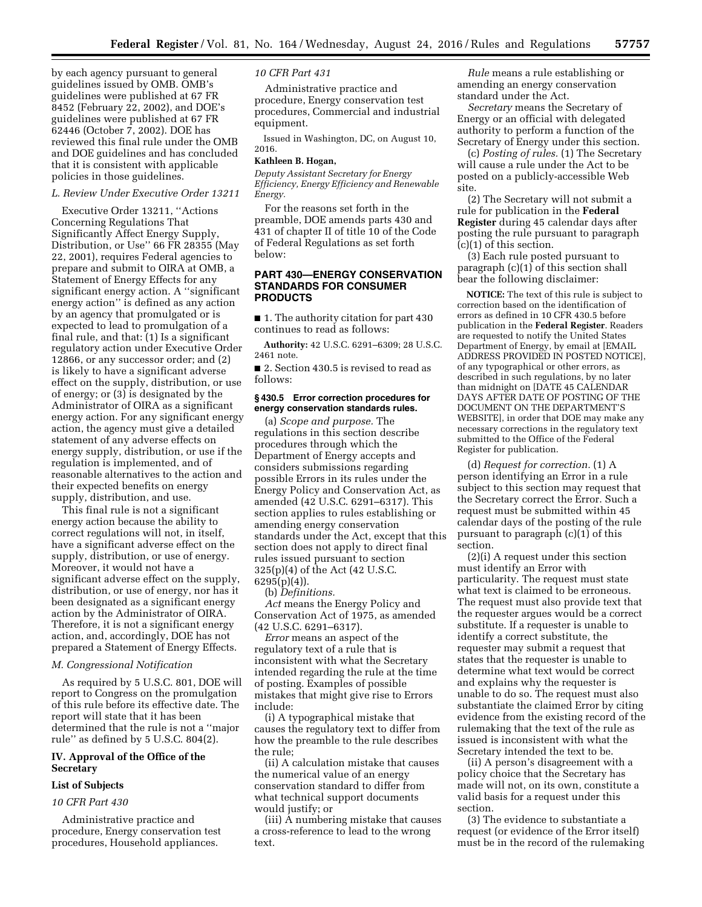by each agency pursuant to general guidelines issued by OMB. OMB's guidelines were published at 67 FR 8452 (February 22, 2002), and DOE's guidelines were published at 67 FR 62446 (October 7, 2002). DOE has reviewed this final rule under the OMB and DOE guidelines and has concluded that it is consistent with applicable policies in those guidelines.

#### *L. Review Under Executive Order 13211*

Executive Order 13211, ''Actions Concerning Regulations That Significantly Affect Energy Supply, Distribution, or Use'' 66 FR 28355 (May 22, 2001), requires Federal agencies to prepare and submit to OIRA at OMB, a Statement of Energy Effects for any significant energy action. A ''significant energy action'' is defined as any action by an agency that promulgated or is expected to lead to promulgation of a final rule, and that: (1) Is a significant regulatory action under Executive Order 12866, or any successor order; and (2) is likely to have a significant adverse effect on the supply, distribution, or use of energy; or (3) is designated by the Administrator of OIRA as a significant energy action. For any significant energy action, the agency must give a detailed statement of any adverse effects on energy supply, distribution, or use if the regulation is implemented, and of reasonable alternatives to the action and their expected benefits on energy supply, distribution, and use.

This final rule is not a significant energy action because the ability to correct regulations will not, in itself, have a significant adverse effect on the supply, distribution, or use of energy. Moreover, it would not have a significant adverse effect on the supply, distribution, or use of energy, nor has it been designated as a significant energy action by the Administrator of OIRA. Therefore, it is not a significant energy action, and, accordingly, DOE has not prepared a Statement of Energy Effects.

### *M. Congressional Notification*

As required by 5 U.S.C. 801, DOE will report to Congress on the promulgation of this rule before its effective date. The report will state that it has been determined that the rule is not a ''major rule'' as defined by 5 U.S.C. 804(2).

#### **IV. Approval of the Office of the Secretary**

#### **List of Subjects**

#### *10 CFR Part 430*

Administrative practice and procedure, Energy conservation test procedures, Household appliances.

# *10 CFR Part 431*

Administrative practice and procedure, Energy conservation test procedures, Commercial and industrial equipment.

Issued in Washington, DC, on August 10, 2016.

#### **Kathleen B. Hogan,**

*Deputy Assistant Secretary for Energy Efficiency, Energy Efficiency and Renewable Energy.* 

For the reasons set forth in the preamble, DOE amends parts 430 and 431 of chapter II of title 10 of the Code of Federal Regulations as set forth below:

### **PART 430—ENERGY CONSERVATION STANDARDS FOR CONSUMER PRODUCTS**

■ 1. The authority citation for part 430 continues to read as follows:

**Authority:** 42 U.S.C. 6291–6309; 28 U.S.C. 2461 note.

■ 2. Section 430.5 is revised to read as follows:

#### **§ 430.5 Error correction procedures for energy conservation standards rules.**

(a) *Scope and purpose.* The regulations in this section describe procedures through which the Department of Energy accepts and considers submissions regarding possible Errors in its rules under the Energy Policy and Conservation Act, as amended (42 U.S.C. 6291–6317). This section applies to rules establishing or amending energy conservation standards under the Act, except that this section does not apply to direct final rules issued pursuant to section 325(p)(4) of the Act (42 U.S.C.  $6295(p)(4)$ ).

(b) *Definitions.* 

*Act* means the Energy Policy and Conservation Act of 1975, as amended (42 U.S.C. 6291–6317).

*Error* means an aspect of the regulatory text of a rule that is inconsistent with what the Secretary intended regarding the rule at the time of posting. Examples of possible mistakes that might give rise to Errors include:

(i) A typographical mistake that causes the regulatory text to differ from how the preamble to the rule describes the rule;

(ii) A calculation mistake that causes the numerical value of an energy conservation standard to differ from what technical support documents would justify; or

(iii) A numbering mistake that causes a cross-reference to lead to the wrong text.

*Rule* means a rule establishing or amending an energy conservation standard under the Act.

*Secretary* means the Secretary of Energy or an official with delegated authority to perform a function of the Secretary of Energy under this section.

(c) *Posting of rules.* (1) The Secretary will cause a rule under the Act to be posted on a publicly-accessible Web site.

(2) The Secretary will not submit a rule for publication in the **Federal Register** during 45 calendar days after posting the rule pursuant to paragraph (c)(1) of this section.

(3) Each rule posted pursuant to paragraph (c)(1) of this section shall bear the following disclaimer:

**NOTICE:** The text of this rule is subject to correction based on the identification of errors as defined in 10 CFR 430.5 before publication in the **Federal Register**. Readers are requested to notify the United States Department of Energy, by email at [EMAIL ADDRESS PROVIDED IN POSTED NOTICE], of any typographical or other errors, as described in such regulations, by no later than midnight on [DATE 45 CALENDAR DAYS AFTER DATE OF POSTING OF THE DOCUMENT ON THE DEPARTMENT'S WEBSITE], in order that DOE may make any necessary corrections in the regulatory text submitted to the Office of the Federal Register for publication.

(d) *Request for correction.* (1) A person identifying an Error in a rule subject to this section may request that the Secretary correct the Error. Such a request must be submitted within 45 calendar days of the posting of the rule pursuant to paragraph (c)(1) of this section.

(2)(i) A request under this section must identify an Error with particularity. The request must state what text is claimed to be erroneous. The request must also provide text that the requester argues would be a correct substitute. If a requester is unable to identify a correct substitute, the requester may submit a request that states that the requester is unable to determine what text would be correct and explains why the requester is unable to do so. The request must also substantiate the claimed Error by citing evidence from the existing record of the rulemaking that the text of the rule as issued is inconsistent with what the Secretary intended the text to be.

(ii) A person's disagreement with a policy choice that the Secretary has made will not, on its own, constitute a valid basis for a request under this section.

(3) The evidence to substantiate a request (or evidence of the Error itself) must be in the record of the rulemaking